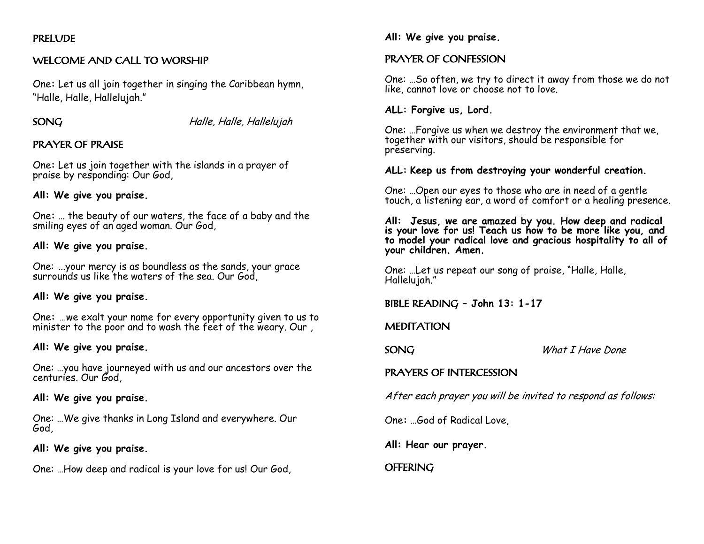# PRELUDE

# WELCOME AND CALL TO WORSHIP

One**:** Let us all join together in singing the Caribbean hymn, "Halle, Halle, Hallelujah."

SONG Halle, Halle, Hallelujah

# PRAYER OF PRAISE

One**:** Let us join together with the islands in a prayer of praise by responding: Our God,

### **All: We give you praise.**

One**:** … the beauty of our waters, the face of a baby and the smiling eyes of an aged woman. Our God,

## **All: We give you praise.**

One: ...your mercy is as boundless as the sands, your grace surrounds us like the waters of the sea. Our God,

# **All: We give you praise.**

One**:** …we exalt your name for every opportunity given to us to minister to the poor and to wash the feet of the weary. Our ,

### **All: We give you praise.**

One: …you have journeyed with us and our ancestors over the centuries. Our God,

### **All: We give you praise.**

One: …We give thanks in Long Island and everywhere. Our God,

### **All: We give you praise.**

One: …How deep and radical is your love for us! Our God,

## **All: We give you praise.**

# PRAYER OF CONFESSION

One: …So often, we try to direct it away from those we do not like, cannot love or choose not to love.

## **ALL: Forgive us, Lord.**

One: …Forgive us when we destroy the environment that we, together with our visitors, should be responsible for preserving.

### **ALL: Keep us from destroying your wonderful creation.**

One: …Open our eyes to those who are in need of a gentle touch, a listening ear, a word of comfort or a healing presence.

**All: Jesus, we are amazed by you. How deep and radical is your love for us! Teach us how to be more like you, and to model your radical love and gracious hospitality to all of your children. Amen.** 

One: …Let us repeat our song of praise, "Halle, Halle, Hallelujah."

# BIBLE READING **– John 13: 1-17**

# **MEDITATION**

SONG<br>
What I Have Done

# PRAYERS OF INTERCESSION

After each prayer you will be invited to respond as follows:

One**:** …God of Radical Love,

**All: Hear our prayer.**

**OFFERING**